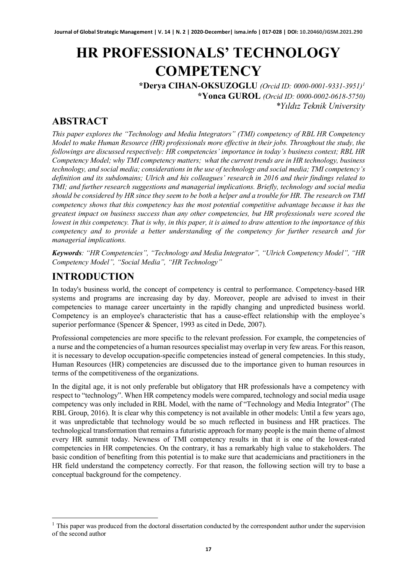# **HR PROFESSIONALS' TECHNOLOGY COMPETENCY**

**\*Derya CIHAN-OKSUZOGLU** *(Orcid ID: 0000-0001-9331-3951)[1](#page-0-0)*  **\*Yonca GUROL** *(Orcid ID: 0000-0002-0618-5750) \*Yıldız Teknik University*

#### **ABSTRACT**

*This paper explores the "Technology and Media Integrators" (TMI) competency of RBL HR Competency Model to make Human Resource (HR) professionals more effective in their jobs. Throughout the study, the followings are discussed respectively: HR competencies' importance in today's business context; RBL HR Competency Model; why TMI competency matters; what the current trends are in HR technology, business technology, and social media; considerations in the use of technology and social media; TMI competency's definition and its subdomains; Ulrich and his colleagues' research in 2016 and their findings related to TMI; and further research suggestions and managerial implications. Briefly, technology and social media should be considered by HR since they seem to be both a helper and a trouble for HR. The research on TMI competency shows that this competency has the most potential competitive advantage because it has the greatest impact on business success than any other competencies, but HR professionals were scored the lowest in this competency. That is why, in this paper, it is aimed to draw attention to the importance of this competency and to provide a better understanding of the competency for further research and for managerial implications.* 

*Keywords: "HR Competencies", "Technology and Media Integrator", "Ulrich Competency Model", "HR Competency Model", "Social Media", "HR Technology"* 

### **INTRODUCTION**

In today's business world, the concept of competency is central to performance. Competency-based HR systems and programs are increasing day by day. Moreover, people are advised to invest in their competencies to manage career uncertainty in the rapidly changing and unpredicted business world. Competency is an employee's characteristic that has a cause-effect relationship with the employee's superior performance (Spencer & Spencer, 1993 as cited in Dede, 2007).

Professional competencies are more specific to the relevant profession. For example, the competencies of a nurse and the competencies of a human resources specialist may overlap in very few areas. For this reason, it is necessary to develop occupation-specific competencies instead of general competencies. In this study, Human Resources (HR) competencies are discussed due to the importance given to human resources in terms of the competitiveness of the organizations.

In the digital age, it is not only preferable but obligatory that HR professionals have a competency with respect to "technology". When HR competency models were compared, technology and social media usage competency was only included in RBL Model, with the name of "Technology and Media Integrator" (The RBL Group, 2016). It is clear why this competency is not available in other models: Until a few years ago, it was unpredictable that technology would be so much reflected in business and HR practices. The technological transformation that remains a futuristic approach for many people is the main theme of almost every HR summit today. Newness of TMI competency results in that it is one of the lowest-rated competencies in HR competencies. On the contrary, it has a remarkably high value to stakeholders. The basic condition of benefiting from this potential is to make sure that academicians and practitioners in the HR field understand the competency correctly. For that reason, the following section will try to base a conceptual background for the competency.

<span id="page-0-0"></span><sup>&</sup>lt;sup>1</sup> This paper was produced from the doctoral dissertation conducted by the correspondent author under the supervision of the second author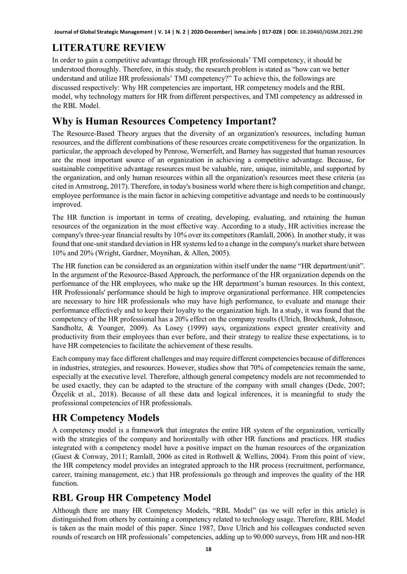### **LITERATURE REVIEW**

In order to gain a competitive advantage through HR professionals' TMI competency, it should be understood thoroughly. Therefore, in this study, the research problem is stated as "how can we better understand and utilize HR professionals' TMI competency?" To achieve this, the followings are discussed respectively: Why HR competencies are important, HR competency models and the RBL model, why technology matters for HR from different perspectives, and TMI competency as addressed in the RBL Model.

### **Why is Human Resources Competency Important?**

The Resource-Based Theory argues that the diversity of an organization's resources, including human resources, and the different combinations of these resources create competitiveness for the organization. In particular, the approach developed by Penrose, Wernerfelt, and Barney has suggested that human resources are the most important source of an organization in achieving a competitive advantage. Because, for sustainable competitive advantage resources must be valuable, rare, unique, inimitable, and supported by the organization, and only human resources within all the organization's resources meet these criteria (as cited in Armstrong, 2017). Therefore, in today's business world where there is high competition and change, employee performance is the main factor in achieving competitive advantage and needs to be continuously improved.

The HR function is important in terms of creating, developing, evaluating, and retaining the human resources of the organization in the most effective way. According to a study, HR activities increase the company's three-year financial results by 10% over its competitors (Ramlall, 2006). In another study, it was found that one-unit standard deviation in HR systems led to a change in the company's market share between 10% and 20% (Wright, Gardner, Moynihan, & Allen, 2005).

The HR function can be considered as an organization within itself under the name "HR department/unit". In the argument of the Resource-Based Approach, the performance of the HR organization depends on the performance of the HR employees, who make up the HR department's human resources. In this context, HR Professionals' performance should be high to improve organizational performance. HR competencies are necessary to hire HR professionals who may have high performance, to evaluate and manage their performance effectively and to keep their loyalty to the organization high. In a study, it was found that the competency of the HR professional has a 20% effect on the company results (Ulrich, Brockbank, Johnson, Sandholtz, & Younger, 2009). As Losey (1999) says, organizations expect greater creativity and productivity from their employees than ever before, and their strategy to realize these expectations, is to have HR competencies to facilitate the achievement of these results.

Each company may face different challenges and may require different competencies because of differences in industries, strategies, and resources. However, studies show that 70% of competencies remain the same, especially at the executive level. Therefore, although general competency models are not recommended to be used exactly, they can be adapted to the structure of the company with small changes (Dede, 2007; Özçelik et al., 2018). Because of all these data and logical inferences, it is meaningful to study the professional competencies of HR professionals.

## **HR Competency Models**

A competency model is a framework that integrates the entire HR system of the organization, vertically with the strategies of the company and horizontally with other HR functions and practices. HR studies integrated with a competency model have a positive impact on the human resources of the organization (Guest & Conway, 2011; Ramlall, 2006 as cited in Rothwell & Wellins, 2004). From this point of view, the HR competency model provides an integrated approach to the HR process (recruitment, performance, career, training management, etc.) that HR professionals go through and improves the quality of the HR function.

## **RBL Group HR Competency Model**

Although there are many HR Competency Models, "RBL Model" (as we will refer in this article) is distinguished from others by containing a competency related to technology usage. Therefore, RBL Model is taken as the main model of this paper. Since 1987, Dave Ulrich and his colleagues conducted seven rounds of research on HR professionals' competencies, adding up to 90.000 surveys, from HR and non-HR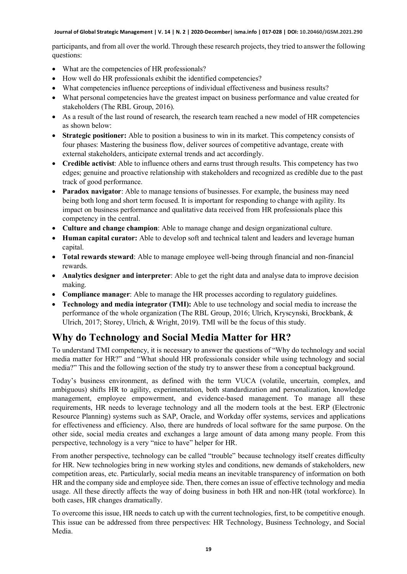participants, and from all over the world. Through these research projects, they tried to answer the following questions:

- What are the competencies of HR professionals?
- How well do HR professionals exhibit the identified competencies?
- What competencies influence perceptions of individual effectiveness and business results?
- What personal competencies have the greatest impact on business performance and value created for stakeholders (The RBL Group, 2016).
- As a result of the last round of research, the research team reached a new model of HR competencies as shown below:
- **Strategic positioner:** Able to position a business to win in its market. This competency consists of four phases: Mastering the business flow, deliver sources of competitive advantage, create with external stakeholders, anticipate external trends and act accordingly.
- **Credible activist**: Able to influence others and earns trust through results. This competency has two edges; genuine and proactive relationship with stakeholders and recognized as credible due to the past track of good performance.
- **Paradox navigator:** Able to manage tensions of businesses. For example, the business may need being both long and short term focused. It is important for responding to change with agility. Its impact on business performance and qualitative data received from HR professionals place this competency in the central.
- **Culture and change champion**: Able to manage change and design organizational culture.
- **Human capital curator:** Able to develop soft and technical talent and leaders and leverage human capital.
- **Total rewards steward**: Able to manage employee well-being through financial and non-financial rewards.
- **Analytics designer and interpreter**: Able to get the right data and analyse data to improve decision making.
- **Compliance manager**: Able to manage the HR processes according to regulatory guidelines.
- **Technology and media integrator (TMI):** Able to use technology and social media to increase the performance of the whole organization (The RBL Group, 2016; Ulrich, Kryscynski, Brockbank, & Ulrich, 2017; Storey, Ulrich, & Wright, 2019). TMI will be the focus of this study.

#### **Why do Technology and Social Media Matter for HR?**

To understand TMI competency, it is necessary to answer the questions of "Why do technology and social media matter for HR?" and "What should HR professionals consider while using technology and social media?" This and the following section of the study try to answer these from a conceptual background.

Today's business environment, as defined with the term VUCA (volatile, uncertain, complex, and ambiguous) shifts HR to agility, experimentation, both standardization and personalization, knowledge management, employee empowerment, and evidence-based management. To manage all these requirements, HR needs to leverage technology and all the modern tools at the best. ERP (Electronic Resource Planning) systems such as SAP, Oracle, and Workday offer systems, services and applications for effectiveness and efficiency. Also, there are hundreds of local software for the same purpose. On the other side, social media creates and exchanges a large amount of data among many people. From this perspective, technology is a very "nice to have" helper for HR.

From another perspective, technology can be called "trouble" because technology itself creates difficulty for HR. New technologies bring in new working styles and conditions, new demands of stakeholders, new competition areas, etc. Particularly, social media means an inevitable transparency of information on both HR and the company side and employee side. Then, there comes an issue of effective technology and media usage. All these directly affects the way of doing business in both HR and non-HR (total workforce). In both cases, HR changes dramatically.

To overcome this issue, HR needs to catch up with the current technologies, first, to be competitive enough. This issue can be addressed from three perspectives: HR Technology, Business Technology, and Social Media.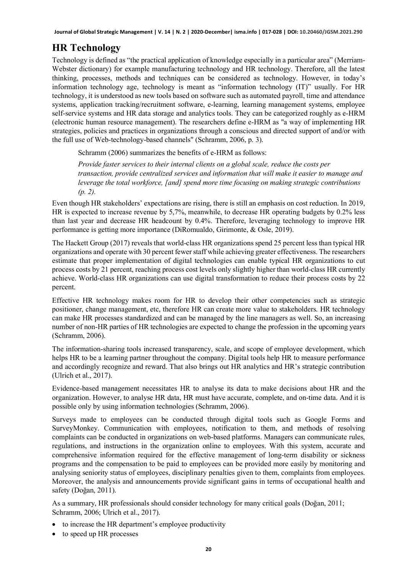### **HR Technology**

Technology is defined as "the practical application of knowledge especially in a particular area" (Merriam-Webster dictionary) for example manufacturing technology and HR technology. Therefore, all the latest thinking, processes, methods and techniques can be considered as technology. However, in today's information technology age, technology is meant as "information technology (IT)" usually. For HR technology, it is understood as new tools based on software such as automated payroll, time and attendance systems, application tracking/recruitment software, e-learning, learning management systems, employee self-service systems and HR data storage and analytics tools. They can be categorized roughly as e-HRM (electronic human resource management). The researchers define e-HRM as "a way of implementing HR strategies, policies and practices in organizations through a conscious and directed support of and/or with the full use of Web-technology-based channels" (Schramm, 2006, p. 3).

Schramm (2006) summarizes the benefits of e-HRM as follows:

*Provide faster services to their internal clients on a global scale, reduce the costs per transaction, provide centralized services and information that will make it easier to manage and leverage the total workforce, [and] spend more time focusing on making strategic contributions (p. 2).* 

Even though HR stakeholders' expectations are rising, there is still an emphasis on cost reduction. In 2019, HR is expected to increase revenue by 5,7%, meanwhile, to decrease HR operating budgets by 0.2% less than last year and decrease HR headcount by 0.4%. Therefore, leveraging technology to improve HR performance is getting more importance (DiRomualdo, Girimonte, & Osle, 2019).

The Hackett Group (2017) reveals that world-class HR organizations spend 25 percent less than typical HR organizations and operate with 30 percent fewer staff while achieving greater effectiveness. The researchers estimate that proper implementation of digital technologies can enable typical HR organizations to cut process costs by 21 percent, reaching process cost levels only slightly higher than world-class HR currently achieve. World-class HR organizations can use digital transformation to reduce their process costs by 22 percent.

Effective HR technology makes room for HR to develop their other competencies such as strategic positioner, change management, etc, therefore HR can create more value to stakeholders. HR technology can make HR processes standardized and can be managed by the line managers as well. So, an increasing number of non-HR parties of HR technologies are expected to change the profession in the upcoming years (Schramm, 2006).

The information-sharing tools increased transparency, scale, and scope of employee development, which helps HR to be a learning partner throughout the company. Digital tools help HR to measure performance and accordingly recognize and reward. That also brings out HR analytics and HR's strategic contribution (Ulrich et al., 2017).

Evidence-based management necessitates HR to analyse its data to make decisions about HR and the organization. However, to analyse HR data, HR must have accurate, complete, and on-time data. And it is possible only by using information technologies (Schramm, 2006).

Surveys made to employees can be conducted through digital tools such as Google Forms and SurveyMonkey. Communication with employees, notification to them, and methods of resolving complaints can be conducted in organizations on web-based platforms. Managers can communicate rules, regulations, and instructions in the organization online to employees. With this system, accurate and comprehensive information required for the effective management of long-term disability or sickness programs and the compensation to be paid to employees can be provided more easily by monitoring and analysing seniority status of employees, disciplinary penalties given to them, complaints from employees. Moreover, the analysis and announcements provide significant gains in terms of occupational health and safety (Doğan, 2011).

As a summary, HR professionals should consider technology for many critical goals (Doğan, 2011; Schramm, 2006; Ulrich et al., 2017).

- to increase the HR department's employee productivity
- to speed up HR processes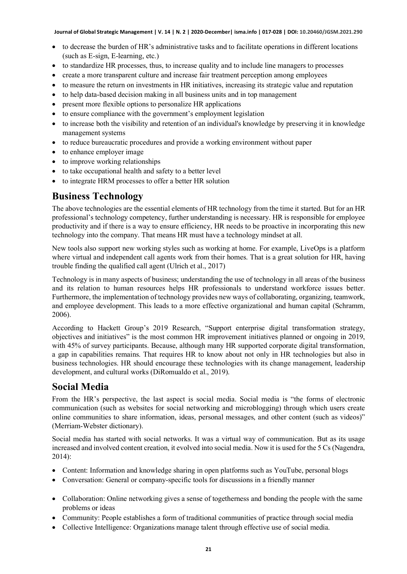- to decrease the burden of HR's administrative tasks and to facilitate operations in different locations (such as E-sign, E-learning, etc.)
- to standardize HR processes, thus, to increase quality and to include line managers to processes
- create a more transparent culture and increase fair treatment perception among employees
- to measure the return on investments in HR initiatives, increasing its strategic value and reputation
- to help data-based decision making in all business units and in top management
- present more flexible options to personalize HR applications
- to ensure compliance with the government's employment legislation
- to increase both the visibility and retention of an individual's knowledge by preserving it in knowledge management systems
- to reduce bureaucratic procedures and provide a working environment without paper
- to enhance employer image
- to improve working relationships
- to take occupational health and safety to a better level
- to integrate HRM processes to offer a better HR solution

#### **Business Technology**

The above technologies are the essential elements of HR technology from the time it started. But for an HR professional's technology competency, further understanding is necessary. HR is responsible for employee productivity and if there is a way to ensure efficiency, HR needs to be proactive in incorporating this new technology into the company. That means HR must have a technology mindset at all.

New tools also support new working styles such as working at home. For example, LiveOps is a platform where virtual and independent call agents work from their homes. That is a great solution for HR, having trouble finding the qualified call agent (Ulrich et al., 2017)

Technology is in many aspects of business; understanding the use of technology in all areas of the business and its relation to human resources helps HR professionals to understand workforce issues better. Furthermore, the implementation of technology provides new ways of collaborating, organizing, teamwork, and employee development. This leads to a more effective organizational and human capital (Schramm, 2006).

According to Hackett Group's 2019 Research, "Support enterprise digital transformation strategy, objectives and initiatives" is the most common HR improvement initiatives planned or ongoing in 2019, with 45% of survey participants. Because, although many HR supported corporate digital transformation, a gap in capabilities remains. That requires HR to know about not only in HR technologies but also in business technologies. HR should encourage these technologies with its change management, leadership development, and cultural works (DiRomualdo et al., 2019).

#### **Social Media**

From the HR's perspective, the last aspect is social media. Social media is "the forms of electronic communication (such as websites for social networking and microblogging) through which users create online communities to share information, ideas, personal messages, and other content (such as videos)" (Merriam-Webster dictionary).

Social media has started with social networks. It was a virtual way of communication. But as its usage increased and involved content creation, it evolved into social media. Now it is used for the 5 Cs (Nagendra, 2014):

- Content: Information and knowledge sharing in open platforms such as YouTube, personal blogs
- Conversation: General or company-specific tools for discussions in a friendly manner
- Collaboration: Online networking gives a sense of togetherness and bonding the people with the same problems or ideas
- Community: People establishes a form of traditional communities of practice through social media
- Collective Intelligence: Organizations manage talent through effective use of social media.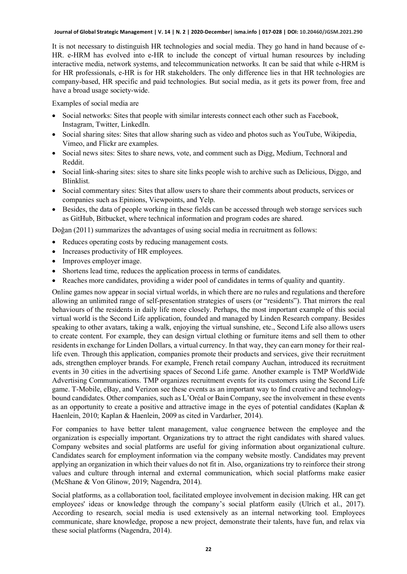It is not necessary to distinguish HR technologies and social media. They go hand in hand because of e-HR. e-HRM has evolved into e-HR to include the concept of virtual human resources by including interactive media, network systems, and telecommunication networks. It can be said that while e-HRM is for HR professionals, e-HR is for HR stakeholders. The only difference lies in that HR technologies are company-based, HR specific and paid technologies. But social media, as it gets its power from, free and have a broad usage society-wide.

Examples of social media are

- Social networks: Sites that people with similar interests connect each other such as Facebook, Instagram, Twitter, LinkedIn.
- Social sharing sites: Sites that allow sharing such as video and photos such as YouTube, Wikipedia, Vimeo, and Flickr are examples.
- Social news sites: Sites to share news, vote, and comment such as Digg, Medium, Technoral and Reddit.
- Social link-sharing sites: sites to share site links people wish to archive such as Delicious, Diggo, and Blinklist.
- Social commentary sites: Sites that allow users to share their comments about products, services or companies such as Epinions, Viewpoints, and Yelp.
- Besides, the data of people working in these fields can be accessed through web storage services such as GitHub, Bitbucket, where technical information and program codes are shared.

Doğan (2011) summarizes the advantages of using social media in recruitment as follows:

- Reduces operating costs by reducing management costs.
- Increases productivity of HR employees.
- Improves employer image.
- Shortens lead time, reduces the application process in terms of candidates.
- Reaches more candidates, providing a wider pool of candidates in terms of quality and quantity.

Online games now appear in social virtual worlds, in which there are no rules and regulations and therefore allowing an unlimited range of self-presentation strategies of users (or "residents"). That mirrors the real behaviours of the residents in daily life more closely. Perhaps, the most important example of this social virtual world is the Second Life application, founded and managed by Linden Research company. Besides speaking to other avatars, taking a walk, enjoying the virtual sunshine, etc., Second Life also allows users to create content. For example, they can design virtual clothing or furniture items and sell them to other residents in exchange for Linden Dollars, a virtual currency. In that way, they can earn money for their reallife even. Through this application, companies promote their products and services, give their recruitment ads, strengthen employer brands. For example, French retail company Auchan, introduced its recruitment events in 30 cities in the advertising spaces of Second Life game. Another example is TMP WorldWide Advertising Communications. TMP organizes recruitment events for its customers using the Second Life game. T-Mobile, eBay, and Verizon see these events as an important way to find creative and technologybound candidates. Other companies, such as L'Oréal or Bain Company, see the involvement in these events as an opportunity to create a positive and attractive image in the eyes of potential candidates (Kaplan & Haenlein, 2010; Kaplan & Haenlein, 2009 as cited in Vardarlıer, 2014).

For companies to have better talent management, value congruence between the employee and the organization is especially important. Organizations try to attract the right candidates with shared values. Company websites and social platforms are useful for giving information about organizational culture. Candidates search for employment information via the company website mostly. Candidates may prevent applying an organization in which their values do not fit in. Also, organizations try to reinforce their strong values and culture through internal and external communication, which social platforms make easier (McShane & Von Glinow, 2019; Nagendra, 2014).

Social platforms, as a collaboration tool, facilitated employee involvement in decision making. HR can get employees' ideas or knowledge through the company's social platform easily (Ulrich et al., 2017). According to research, social media is used extensively as an internal networking tool. Employees communicate, share knowledge, propose a new project, demonstrate their talents, have fun, and relax via these social platforms (Nagendra, 2014).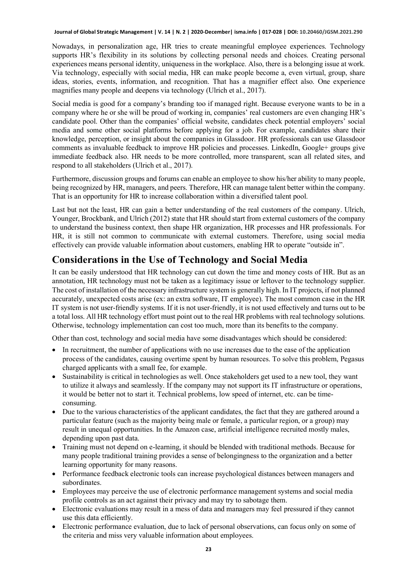Nowadays, in personalization age, HR tries to create meaningful employee experiences. Technology supports HR's flexibility in its solutions by collecting personal needs and choices. Creating personal experiences means personal identity, uniqueness in the workplace. Also, there is a belonging issue at work. Via technology, especially with social media, HR can make people become a, even virtual, group, share ideas, stories, events, information, and recognition. That has a magnifier effect also. One experience magnifies many people and deepens via technology (Ulrich et al., 2017).

Social media is good for a company's branding too if managed right. Because everyone wants to be in a company where he or she will be proud of working in, companies' real customers are even changing HR's candidate pool. Other than the companies' official website, candidates check potential employers' social media and some other social platforms before applying for a job. For example, candidates share their knowledge, perception, or insight about the companies in Glassdoor. HR professionals can use Glassdoor comments as invaluable feedback to improve HR policies and processes. LinkedIn, Google+ groups give immediate feedback also. HR needs to be more controlled, more transparent, scan all related sites, and respond to all stakeholders (Ulrich et al., 2017).

Furthermore, discussion groups and forums can enable an employee to show his/her ability to many people, being recognized by HR, managers, and peers. Therefore, HR can manage talent better within the company. That is an opportunity for HR to increase collaboration within a diversified talent pool.

Last but not the least, HR can gain a better understanding of the real customers of the company. Ulrich, Younger, Brockbank, and Ulrich (2012) state that HR should start from external customers of the company to understand the business context, then shape HR organization, HR processes and HR professionals. For HR, it is still not common to communicate with external customers. Therefore, using social media effectively can provide valuable information about customers, enabling HR to operate "outside in".

#### **Considerations in the Use of Technology and Social Media**

It can be easily understood that HR technology can cut down the time and money costs of HR. But as an annotation, HR technology must not be taken as a legitimacy issue or leftover to the technology supplier. The cost of installation of the necessary infrastructure system is generally high. In IT projects, if not planned accurately, unexpected costs arise (ex: an extra software, IT employee). The most common case in the HR IT system is not user-friendly systems. If it is not user-friendly, it is not used effectively and turns out to be a total loss. All HR technology effort must point out to the real HR problems with real technology solutions. Otherwise, technology implementation can cost too much, more than its benefits to the company.

Other than cost, technology and social media have some disadvantages which should be considered:

- In recruitment, the number of applications with no use increases due to the ease of the application process of the candidates, causing overtime spent by human resources. To solve this problem, Pegasus charged applicants with a small fee, for example.
- Sustainability is critical in technologies as well. Once stakeholders get used to a new tool, they want to utilize it always and seamlessly. If the company may not support its IT infrastructure or operations, it would be better not to start it. Technical problems, low speed of internet, etc. can be timeconsuming.
- Due to the various characteristics of the applicant candidates, the fact that they are gathered around a particular feature (such as the majority being male or female, a particular region, or a group) may result in unequal opportunities. In the Amazon case, artificial intelligence recruited mostly males, depending upon past data.
- Training must not depend on e-learning, it should be blended with traditional methods. Because for many people traditional training provides a sense of belongingness to the organization and a better learning opportunity for many reasons.
- Performance feedback electronic tools can increase psychological distances between managers and subordinates.
- Employees may perceive the use of electronic performance management systems and social media profile controls as an act against their privacy and may try to sabotage them.
- Electronic evaluations may result in a mess of data and managers may feel pressured if they cannot use this data efficiently.
- Electronic performance evaluation, due to lack of personal observations, can focus only on some of the criteria and miss very valuable information about employees.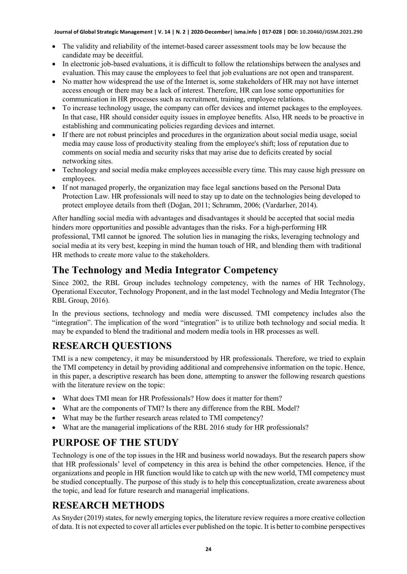- The validity and reliability of the internet-based career assessment tools may be low because the candidate may be deceitful.
- In electronic job-based evaluations, it is difficult to follow the relationships between the analyses and evaluation. This may cause the employees to feel that job evaluations are not open and transparent.
- No matter how widespread the use of the Internet is, some stakeholders of HR may not have internet access enough or there may be a lack of interest. Therefore, HR can lose some opportunities for communication in HR processes such as recruitment, training, employee relations.
- To increase technology usage, the company can offer devices and internet packages to the employees. In that case, HR should consider equity issues in employee benefits. Also, HR needs to be proactive in establishing and communicating policies regarding devices and internet.
- If there are not robust principles and procedures in the organization about social media usage, social media may cause loss of productivity stealing from the employee's shift; loss of reputation due to comments on social media and security risks that may arise due to deficits created by social networking sites.
- Technology and social media make employees accessible every time. This may cause high pressure on employees.
- If not managed properly, the organization may face legal sanctions based on the Personal Data Protection Law. HR professionals will need to stay up to date on the technologies being developed to protect employee details from theft (Doğan, 2011; Schramm, 2006; (Vardarlıer, 2014).

After handling social media with advantages and disadvantages it should be accepted that social media hinders more opportunities and possible advantages than the risks. For a high-performing HR professional, TMI cannot be ignored. The solution lies in managing the risks, leveraging technology and social media at its very best, keeping in mind the human touch of HR, and blending them with traditional HR methods to create more value to the stakeholders.

#### **The Technology and Media Integrator Competency**

Since 2002, the RBL Group includes technology competency, with the names of HR Technology, Operational Executor, Technology Proponent, and in the last model Technology and Media Integrator (The RBL Group, 2016).

In the previous sections, technology and media were discussed. TMI competency includes also the "integration". The implication of the word "integration" is to utilize both technology and social media. It may be expanded to blend the traditional and modern media tools in HR processes as well.

### **RESEARCH QUESTIONS**

TMI is a new competency, it may be misunderstood by HR professionals. Therefore, we tried to explain the TMI competency in detail by providing additional and comprehensive information on the topic. Hence, in this paper, a descriptive research has been done, attempting to answer the following research questions with the literature review on the topic:

- What does TMI mean for HR Professionals? How does it matter for them?
- What are the components of TMI? Is there any difference from the RBL Model?
- What may be the further research areas related to TMI competency?
- What are the managerial implications of the RBL 2016 study for HR professionals?

### **PURPOSE OF THE STUDY**

Technology is one of the top issues in the HR and business world nowadays. But the research papers show that HR professionals' level of competency in this area is behind the other competencies. Hence, if the organizations and people in HR function would like to catch up with the new world, TMI competency must be studied conceptually. The purpose of this study is to help this conceptualization, create awareness about the topic, and lead for future research and managerial implications.

### **RESEARCH METHODS**

As Snyder (2019) states, for newly emerging topics, the literature review requires a more creative collection of data. It is not expected to cover all articles ever published on the topic. It is better to combine perspectives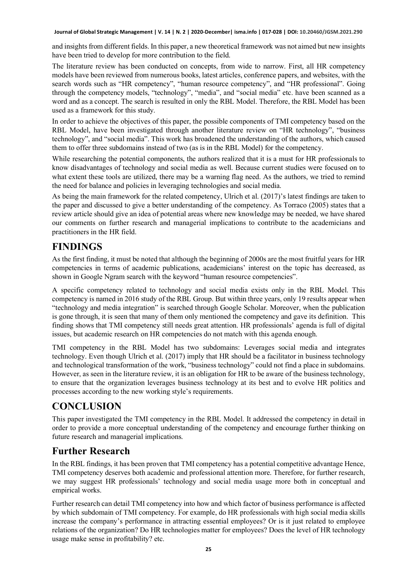and insights from different fields. In this paper, a new theoretical framework was not aimed but new insights have been tried to develop for more contribution to the field.

The literature review has been conducted on concepts, from wide to narrow. First, all HR competency models have been reviewed from numerous books, latest articles, conference papers, and websites, with the search words such as "HR competency", "human resource competency", and "HR professional". Going through the competency models, "technology", "media", and "social media" etc. have been scanned as a word and as a concept. The search is resulted in only the RBL Model. Therefore, the RBL Model has been used as a framework for this study.

In order to achieve the objectives of this paper, the possible components of TMI competency based on the RBL Model, have been investigated through another literature review on "HR technology", "business technology", and "social media". This work has broadened the understanding of the authors, which caused them to offer three subdomains instead of two (as is in the RBL Model) for the competency.

While researching the potential components, the authors realized that it is a must for HR professionals to know disadvantages of technology and social media as well. Because current studies were focused on to what extent these tools are utilized, there may be a warning flag need. As the authors, we tried to remind the need for balance and policies in leveraging technologies and social media.

As being the main framework for the related competency, Ulrich et al. (2017)'s latest findings are taken to the paper and discussed to give a better understanding of the competency. As Torraco (2005) states that a review article should give an idea of potential areas where new knowledge may be needed, we have shared our comments on further research and managerial implications to contribute to the academicians and practitioners in the HR field.

#### **FINDINGS**

As the first finding, it must be noted that although the beginning of 2000s are the most fruitful years for HR competencies in terms of academic publications, academicians' interest on the topic has decreased, as shown in Google Ngram search with the keyword "human resource competencies".

A specific competency related to technology and social media exists only in the RBL Model. This competency is named in 2016 study of the RBL Group. But within three years, only 19 results appear when "technology and media integration" is searched through Google Scholar. Moreover, when the publication is gone through, it is seen that many of them only mentioned the competency and gave its definition. This finding shows that TMI competency still needs great attention. HR professionals' agenda is full of digital issues, but academic research on HR competencies do not match with this agenda enough.

TMI competency in the RBL Model has two subdomains: Leverages social media and integrates technology. Even though Ulrich et al. (2017) imply that HR should be a facilitator in business technology and technological transformation of the work, "business technology" could not find a place in subdomains. However, as seen in the literature review, it is an obligation for HR to be aware of the business technology, to ensure that the organization leverages business technology at its best and to evolve HR politics and processes according to the new working style's requirements.

## **CONCLUSION**

This paper investigated the TMI competency in the RBL Model. It addressed the competency in detail in order to provide a more conceptual understanding of the competency and encourage further thinking on future research and managerial implications.

### **Further Research**

In the RBL findings, it has been proven that TMI competency has a potential competitive advantage Hence, TMI competency deserves both academic and professional attention more. Therefore, for further research, we may suggest HR professionals' technology and social media usage more both in conceptual and empirical works.

Further research can detail TMI competency into how and which factor of business performance is affected by which subdomain of TMI competency. For example, do HR professionals with high social media skills increase the company's performance in attracting essential employees? Or is it just related to employee relations of the organization? Do HR technologies matter for employees? Does the level of HR technology usage make sense in profitability? etc.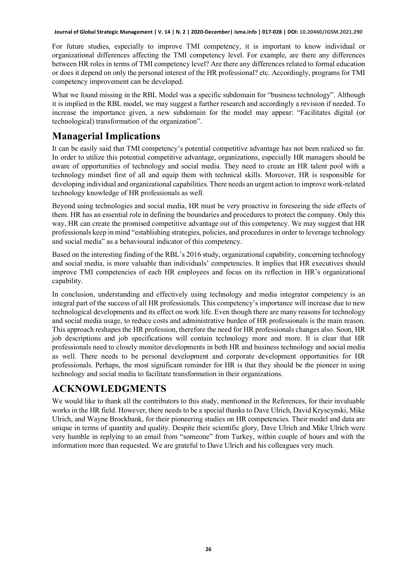For future studies, especially to improve TMI competency, it is important to know individual or organizational differences affecting the TMI competency level. For example, are there any differences between HR roles in terms of TMI competency level? Are there any differences related to formal education or does it depend on only the personal interest of the HR professional? etc. Accordingly, programs for TMI competency improvement can be developed.

What we found missing in the RBL Model was a specific subdomain for "business technology". Although it is implied in the RBL model, we may suggest a further research and accordingly a revision if needed. To increase the importance given, a new subdomain for the model may appear: "Facilitates digital (or technological) transformation of the organization".

### **Managerial Implications**

It can be easily said that TMI competency's potential competitive advantage has not been realized so far. In order to utilize this potential competitive advantage, organizations, especially HR managers should be aware of opportunities of technology and social media. They need to create an HR talent pool with a technology mindset first of all and equip them with technical skills. Moreover, HR is responsible for developing individual and organizational capabilities. There needs an urgent action to improve work-related technology knowledge of HR professionals as well.

Beyond using technologies and social media, HR must be very proactive in foreseeing the side effects of them. HR has an essential role in defining the boundaries and procedures to protect the company. Only this way, HR can create the promised competitive advantage out of this competency. We may suggest that HR professionals keep in mind "establishing strategies, policies, and procedures in order to leverage technology and social media" as a behavioural indicator of this competency.

Based on the interesting finding of the RBL's 2016 study, organizational capability, concerning technology and social media, is more valuable than individuals' competencies. It implies that HR executives should improve TMI competencies of each HR employees and focus on its reflection in HR's organizational capability.

In conclusion, understanding and effectively using technology and media integrator competency is an integral part of the success of all HR professionals. This competency's importance will increase due to new technological developments and its effect on work life. Even though there are many reasons for technology and social media usage, to reduce costs and administrative burden of HR professionals is the main reason. This approach reshapes the HR profession, therefore the need for HR professionals changes also. Soon, HR job descriptions and job specifications will contain technology more and more. It is clear that HR professionals need to closely monitor developments in both HR and business technology and social media as well. There needs to be personal development and corporate development opportunities for HR professionals. Perhaps, the most significant reminder for HR is that they should be the pioneer in using technology and social media to facilitate transformation in their organizations.

#### **ACKNOWLEDGMENTS**

We would like to thank all the contributors to this study, mentioned in the References, for their invaluable works in the HR field. However, there needs to be a special thanks to Dave Ulrich, David Kryscynski, Mike Ulrich, and Wayne Brockbank, for their pioneering studies on HR competencies. Their model and data are unique in terms of quantity and quality. Despite their scientific glory, Dave Ulrich and Mike Ulrich were very humble in replying to an email from "someone" from Turkey, within couple of hours and with the information more than requested. We are grateful to Dave Ulrich and his colleagues very much.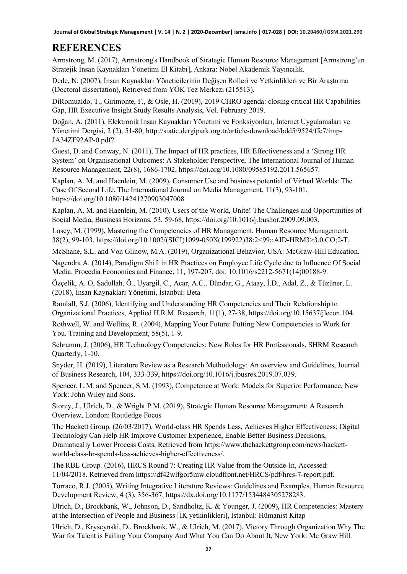### **REFERENCES**

Armstrong, M. (2017), Armstrong's Handbook of Strategic Human Resource Management [Armstrong'un Stratejik İnsan Kaynakları Yönetimi El Kitabı], Ankara: Nobel Akademik Yayıncılık.

Dede, N. (2007), İnsan Kaynakları Yöneticilerinin Değişen Rolleri ve Yetkinlikleri ve Bir Araştırma (Doctoral dissertation), Retrieved from YÖK Tez Merkezi (215513).

DiRomualdo, T., Girimonte, F., & Osle, H. (2019), 2019 CHRO agenda: closing critical HR Capabilities Gap, HR Executive Insight Study Results Analysis, Vol. February 2019.

Doğan, A. (2011), Elektronik Insan Kaynakları Yönetimi ve Fonksiyonları, İnternet Uygulamaları ve Yönetimi Dergisi, 2 (2), 51-80, http://static.dergipark.org.tr/article-download/bdd5/9524/ffc7/imp-JA34ZF92AP-0.pdf?

Guest, D. and Conway, N. (2011), The Impact of HR practices, HR Effectiveness and a 'Strong HR System' on Organisational Outcomes: A Stakeholder Perspective, The International Journal of Human Resource Management, 22(8), 1686-1702, https://doi.org/10.1080/09585192.2011.565657.

Kaplan, A. M. and Haenlein, M. (2009), Consumer Use and business potential of Virtual Worlds: The Case Of Second Life, The International Journal on Media Management, 11(3), 93-101, https://doi.org/10.1080/14241270903047008

Kaplan, A. M. and Haenlein, M. (2010), Users of the World, Unite! The Challenges and Opportunities of Social Media, Business Horizons, 53, 59-68, https://doi.org/10.1016/j.bushor.2009.09.003.

Losey, M. (1999), Mastering the Competencies of HR Management, Human Resource Management, 38(2), 99-103, https://doi.org/10.1002/(SICI)1099-050X(199922)38:2<99::AID-HRM3>3.0.CO;2-T.

McShane, S.L. and Von Glinow, M.A. (2019), Organizational Behavior, USA: McGraw-Hill Education.

Nagendra A. (2014), Paradigm Shift in HR Practices on Employee Life Cycle due to Influence Of Social Media, Procedia Economics and Finance, 11, 197-207, doi: 10.1016/s2212-5671(14)00188-9.

Özçelik, A. O, Sadullah, Ö., Uyargil, C., Acar, A.C., Dündar, G., Ataay, İ.D., Adal, Z., & Tüzüner, L. (2018), İnsan Kaynakları Yönetimi, İstanbul: Beta

Ramlall, S.J. (2006), Identifying and Understanding HR Competencies and Their Relationship to Organizational Practices, Applied H.R.M. Research, 11(1), 27-38, https://doi.org/10.15637/jlecon.104.

Rothwell, W. and Wellins, R. (2004), Mapping Your Future: Putting New Competencies to Work for You. Training and Development, 58(5), 1-9.

Schramm, J. (2006), HR Technology Competencies: New Roles for HR Professionals, SHRM Research Quarterly, 1-10.

Snyder, H. (2019), Literature Review as a Research Methodology: An overview and Guidelines, Journal of Business Research, 104, 333-339, https://doi.org/10.1016/j.jbusres.2019.07.039.

Spencer, L.M. and Spencer, S.M. (1993), Competence at Work: Models for Superior Performance, New York: John Wiley and Sons.

Storey, J., Ulrich, D., & Wright P.M. (2019), Strategic Human Resource Management: A Research Overview, London: Routledge Focus

The Hackett Group. (26/03/2017), World-class HR Spends Less, Achieves Higher Effectiveness; Digital Technology Can Help HR Improve Customer Experience, Enable Better Business Decisions, Dramatically Lower Process Costs, Retrieved from https://www.thehackettgroup.com/news/hackettworld-class-hr-spends-less-achieves-higher-effectiveness/.

The RBL Group. (2016), HRCS Round 7: Creating HR Value from the Outside-In, Accessed: 11/04/2018. Retrieved from https://df42wlfgor5mw.cloudfront.net/HRCS/pdf/hrcs-7-report.pdf.

Torraco, R.J. (2005), Writing Integrative Literature Reviews: Guidelines and Examples, Human Resource Development Review, 4 (3), 356-367, https://dx.doi.org/10.1177/1534484305278283.

Ulrich, D., Brockbank, W., Johnson, D., Sandholtz, K. & Younger, J. (2009), HR Competencies: Mastery at the Intersection of People and Business [İK yetkinlikleri], İstanbul: Hümanist Kitap

Ulrich, D., Kryscynski, D., Brockbank, W., & Ulrich, M. (2017), Victory Through Organization Why The War for Talent is Failing Your Company And What You Can Do About It, New York: Mc Graw Hill.